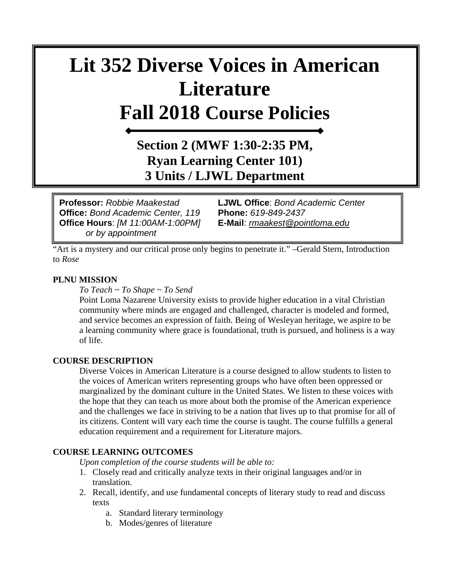# **Lit 352 Diverse Voices in American Literature Fall 2018 Course Policies**

# **Section 2 (MWF 1:30-2:35 PM, Ryan Learning Center 101) 3 Units / LJWL Department**

Course Hears: *[M. Prisentiff 1:001 M]* Eleman: *mainted Spontantiff*<br>or by appointment **Office:** *Bond Academic Center, 119* **Phone:** *619-849-2437* **Office Hours**: *[M 11:00AM-1:00PM]* **E-Mail**: *[rmaakest@pointloma.edu](mailto:rmaakest@pointloma.edu)* 

**Professor:** *Robbie Maakestad* **LJWL Office**: *Bond Academic Center* 

"Art is a mystery and our critical prose only begins to penetrate it." –Gerald Stern, Introduction to *Rose*

#### **PLNU MISSION**

*To Teach ~ To Shape ~ To Send* 

Point Loma Nazarene University exists to provide higher education in a vital Christian community where minds are engaged and challenged, character is modeled and formed, and service becomes an expression of faith. Being of Wesleyan heritage, we aspire to be a learning community where grace is foundational, truth is pursued, and holiness is a way of life.

#### **COURSE DESCRIPTION**

Diverse Voices in American Literature is a course designed to allow students to listen to the voices of American writers representing groups who have often been oppressed or marginalized by the dominant culture in the United States. We listen to these voices with the hope that they can teach us more about both the promise of the American experience and the challenges we face in striving to be a nation that lives up to that promise for all of its citizens. Content will vary each time the course is taught. The course fulfills a general education requirement and a requirement for Literature majors.

#### **COURSE LEARNING OUTCOMES**

*Upon completion of the course students will be able to:*

- 1. Closely read and critically analyze texts in their original languages and/or in translation.
- 2. Recall, identify, and use fundamental concepts of literary study to read and discuss texts
	- a. Standard literary terminology
	- b. Modes/genres of literature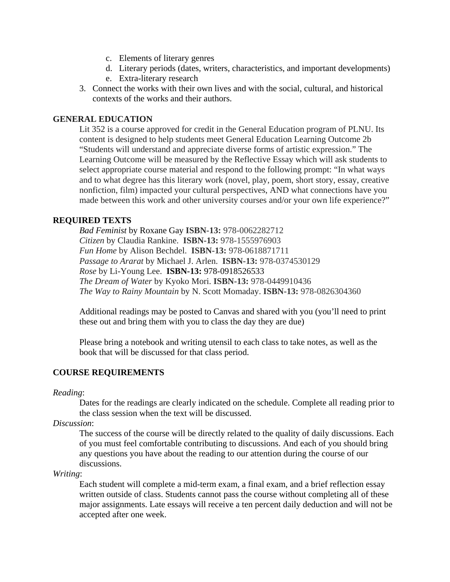- c. Elements of literary genres
- d. Literary periods (dates, writers, characteristics, and important developments)
- e. Extra-literary research
- 3. Connect the works with their own lives and with the social, cultural, and historical contexts of the works and their authors.

# **GENERAL EDUCATION**

Lit 352 is a course approved for credit in the General Education program of PLNU. Its content is designed to help students meet General Education Learning Outcome 2b "Students will understand and appreciate diverse forms of artistic expression." The Learning Outcome will be measured by the Reflective Essay which will ask students to select appropriate course material and respond to the following prompt: "In what ways and to what degree has this literary work (novel, play, poem, short story, essay, creative nonfiction, film) impacted your cultural perspectives, AND what connections have you made between this work and other university courses and/or your own life experience?"

# **REQUIRED TEXTS**

*Bad Feminist* by Roxane Gay **ISBN-13:** 978-0062282712 *Citizen* by Claudia Rankine. **ISBN-13:** 978-1555976903 *Fun Home* by Alison Bechdel. **ISBN-13:** 978-0618871711 *Passage to Ararat* by Michael J. Arlen. **ISBN-13:** 978-0374530129 *Rose* by Li-Young Lee. **ISBN-13:** 978-0918526533 *The Dream of Water* by Kyoko Mori. **ISBN-13:** 978-0449910436 *The Way to Rainy Mountain* by N. Scott Momaday. **ISBN-13:** 978-0826304360

Additional readings may be posted to Canvas and shared with you (you'll need to print these out and bring them with you to class the day they are due)

Please bring a notebook and writing utensil to each class to take notes, as well as the book that will be discussed for that class period.

# **COURSE REQUIREMENTS**

*Reading*:

Dates for the readings are clearly indicated on the schedule. Complete all reading prior to the class session when the text will be discussed.

*Discussion*:

The success of the course will be directly related to the quality of daily discussions. Each of you must feel comfortable contributing to discussions. And each of you should bring any questions you have about the reading to our attention during the course of our discussions.

*Writing*:

Each student will complete a mid-term exam, a final exam, and a brief reflection essay written outside of class. Students cannot pass the course without completing all of these major assignments. Late essays will receive a ten percent daily deduction and will not be accepted after one week.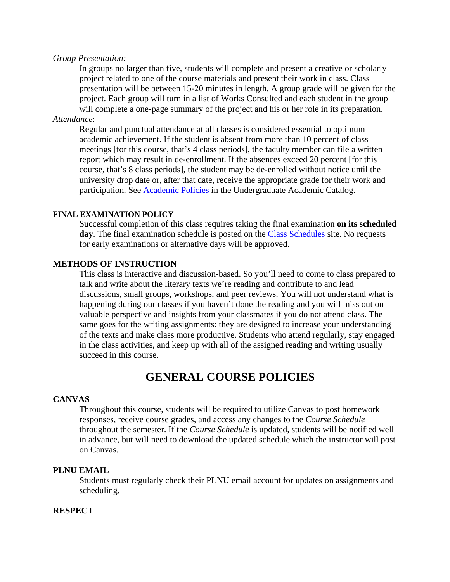#### *Group Presentation:*

In groups no larger than five, students will complete and present a creative or scholarly project related to one of the course materials and present their work in class. Class presentation will be between 15-20 minutes in length. A group grade will be given for the project. Each group will turn in a list of Works Consulted and each student in the group will complete a one-page summary of the project and his or her role in its preparation.

# *Attendance*:

Regular and punctual attendance at all classes is considered essential to optimum academic achievement. If the student is absent from more than 10 percent of class meetings [for this course, that's 4 class periods], the faculty member can file a written report which may result in de-enrollment. If the absences exceed 20 percent [for this course, that's 8 class periods], the student may be de-enrolled without notice until the university drop date or, after that date, receive the appropriate grade for their work and participation. See **Academic Policies** in the Undergraduate Academic Catalog.

#### **FINAL EXAMINATION POLICY**

Successful completion of this class requires taking the final examination **on its scheduled day**. The final examination schedule is posted on the [Class Schedules](http://www.pointloma.edu/experience/academics/class-schedules) site. No requests for early examinations or alternative days will be approved.

#### **METHODS OF INSTRUCTION**

This class is interactive and discussion-based. So you'll need to come to class prepared to talk and write about the literary texts we're reading and contribute to and lead discussions, small groups, workshops, and peer reviews. You will not understand what is happening during our classes if you haven't done the reading and you will miss out on valuable perspective and insights from your classmates if you do not attend class. The same goes for the writing assignments: they are designed to increase your understanding of the texts and make class more productive. Students who attend regularly, stay engaged in the class activities, and keep up with all of the assigned reading and writing usually succeed in this course.

# **GENERAL COURSE POLICIES**

#### **CANVAS**

Throughout this course, students will be required to utilize Canvas to post homework responses, receive course grades, and access any changes to the *Course Schedule* throughout the semester. If the *Course Schedule* is updated, students will be notified well in advance, but will need to download the updated schedule which the instructor will post on Canvas.

#### **PLNU EMAIL**

Students must regularly check their PLNU email account for updates on assignments and scheduling.

#### **RESPECT**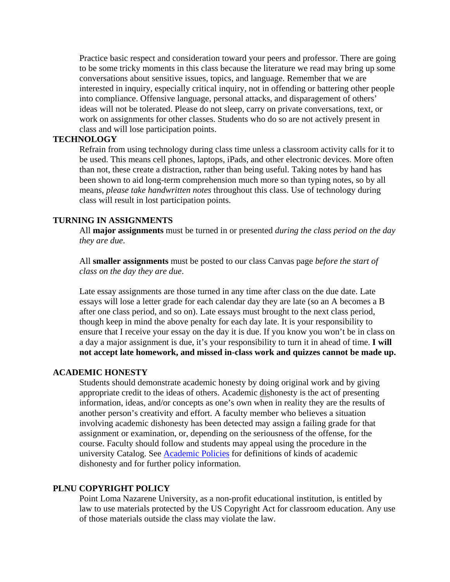Practice basic respect and consideration toward your peers and professor. There are going to be some tricky moments in this class because the literature we read may bring up some conversations about sensitive issues, topics, and language. Remember that we are interested in inquiry, especially critical inquiry, not in offending or battering other people into compliance. Offensive language, personal attacks, and disparagement of others' ideas will not be tolerated. Please do not sleep, carry on private conversations, text, or work on assignments for other classes. Students who do so are not actively present in class and will lose participation points.

#### **TECHNOLOGY**

Refrain from using technology during class time unless a classroom activity calls for it to be used. This means cell phones, laptops, iPads, and other electronic devices. More often than not, these create a distraction, rather than being useful. Taking notes by hand has been shown to aid long-term comprehension much more so than typing notes, so by all means, *please take handwritten notes* throughout this class. Use of technology during class will result in lost participation points.

#### **TURNING IN ASSIGNMENTS**

All **major assignments** must be turned in or presented *during the class period on the day they are due*.

All **smaller assignments** must be posted to our class Canvas page *before the start of class on the day they are due*.

Late essay assignments are those turned in any time after class on the due date. Late essays will lose a letter grade for each calendar day they are late (so an A becomes a B after one class period, and so on). Late essays must brought to the next class period, though keep in mind the above penalty for each day late. It is your responsibility to ensure that I receive your essay on the day it is due. If you know you won't be in class on a day a major assignment is due, it's your responsibility to turn it in ahead of time. **I will not accept late homework, and missed in-class work and quizzes cannot be made up.**

#### **ACADEMIC HONESTY**

Students should demonstrate academic honesty by doing original work and by giving appropriate credit to the ideas of others. Academic dishonesty is the act of presenting information, ideas, and/or concepts as one's own when in reality they are the results of another person's creativity and effort. A faculty member who believes a situation involving academic dishonesty has been detected may assign a failing grade for that assignment or examination, or, depending on the seriousness of the offense, for the course. Faculty should follow and students may appeal using the procedure in the university Catalog. See [Academic Policies](http://catalog.pointloma.edu/content.php?catoid=18&navoid=1278) for definitions of kinds of academic dishonesty and for further policy information.

#### **PLNU COPYRIGHT POLICY**

Point Loma Nazarene University, as a non-profit educational institution, is entitled by law to use materials protected by the US Copyright Act for classroom education. Any use of those materials outside the class may violate the law.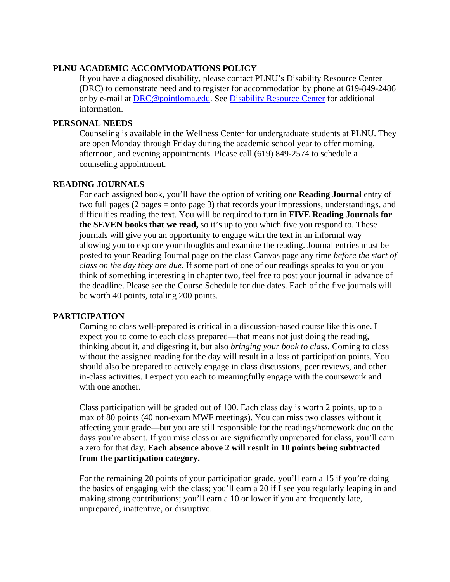# **PLNU ACADEMIC ACCOMMODATIONS POLICY**

If you have a diagnosed disability, please contact PLNU's Disability Resource Center (DRC) to demonstrate need and to register for accommodation by phone at 619-849-2486 or by e-mail at [DRC@pointloma.edu.](mailto:DRC@pointloma.edu) See [Disability Resource Center](http://www.pointloma.edu/experience/offices/administrative-offices/academic-advising-office/disability-resource-center) for additional information.

# **PERSONAL NEEDS**

Counseling is available in the Wellness Center for undergraduate students at PLNU. They are open Monday through Friday during the academic school year to offer morning, afternoon, and evening appointments. Please call (619) 849-2574 to schedule a counseling appointment.

# **READING JOURNALS**

For each assigned book, you'll have the option of writing one **Reading Journal** entry of two full pages (2 pages = onto page 3) that records your impressions, understandings, and difficulties reading the text. You will be required to turn in **FIVE Reading Journals for the SEVEN books that we read,** so it's up to you which five you respond to. These journals will give you an opportunity to engage with the text in an informal way allowing you to explore your thoughts and examine the reading. Journal entries must be posted to your Reading Journal page on the class Canvas page any time *before the start of class on the day they are due.* If some part of one of our readings speaks to you or you think of something interesting in chapter two, feel free to post your journal in advance of the deadline. Please see the Course Schedule for due dates. Each of the five journals will be worth 40 points, totaling 200 points.

# **PARTICIPATION**

Coming to class well-prepared is critical in a discussion-based course like this one. I expect you to come to each class prepared—that means not just doing the reading, thinking about it, and digesting it, but also *bringing your book to class.* Coming to class without the assigned reading for the day will result in a loss of participation points. You should also be prepared to actively engage in class discussions, peer reviews, and other in-class activities. I expect you each to meaningfully engage with the coursework and with one another.

Class participation will be graded out of 100. Each class day is worth 2 points, up to a max of 80 points (40 non-exam MWF meetings). You can miss two classes without it affecting your grade—but you are still responsible for the readings/homework due on the days you're absent. If you miss class or are significantly unprepared for class, you'll earn a zero for that day. **Each absence above 2 will result in 10 points being subtracted from the participation category.** 

For the remaining 20 points of your participation grade, you'll earn a 15 if you're doing the basics of engaging with the class; you'll earn a 20 if I see you regularly leaping in and making strong contributions; you'll earn a 10 or lower if you are frequently late, unprepared, inattentive, or disruptive.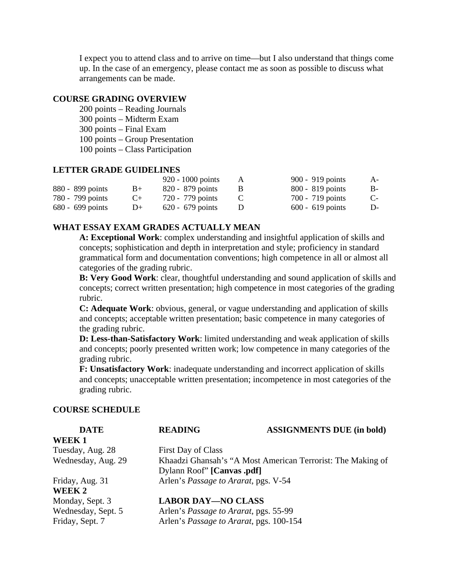I expect you to attend class and to arrive on time—but I also understand that things come up. In the case of an emergency, please contact me as soon as possible to discuss what arrangements can be made.

# **COURSE GRADING OVERVIEW**

- 200 points Reading Journals
- 300 points Midterm Exam
- 300 points Final Exam
- 100 points Group Presentation
- 100 points Class Participation

# **LETTER GRADE GUIDELINES**

|                    |       | $920 - 1000$ points | A | 900 - 919 points   | $A-$      |
|--------------------|-------|---------------------|---|--------------------|-----------|
| 880 - 899 points   | $B+$  | 820 - 879 points    |   | $800 - 819$ points | $B-$      |
| 780 - 799 points   | $($ + | 720 - 779 points    |   | 700 - 719 points   | $C_{\pm}$ |
| $680 - 699$ points | $1+$  | $620 - 679$ points  |   | $600 - 619$ points | D-        |

# **WHAT ESSAY EXAM GRADES ACTUALLY MEAN**

**A: Exceptional Work**: complex understanding and insightful application of skills and concepts; sophistication and depth in interpretation and style; proficiency in standard grammatical form and documentation conventions; high competence in all or almost all categories of the grading rubric.

**B: Very Good Work**: clear, thoughtful understanding and sound application of skills and concepts; correct written presentation; high competence in most categories of the grading rubric.

**C: Adequate Work**: obvious, general, or vague understanding and application of skills and concepts; acceptable written presentation; basic competence in many categories of the grading rubric.

**D: Less-than-Satisfactory Work**: limited understanding and weak application of skills and concepts; poorly presented written work; low competence in many categories of the grading rubric.

**F: Unsatisfactory Work**: inadequate understanding and incorrect application of skills and concepts; unacceptable written presentation; incompetence in most categories of the grading rubric.

#### **COURSE SCHEDULE**

| <b>DATE</b>        | <b>READING</b>                                              | <b>ASSIGNMENTS DUE (in bold)</b> |  |
|--------------------|-------------------------------------------------------------|----------------------------------|--|
| WEEK1              |                                                             |                                  |  |
| Tuesday, Aug. 28   | First Day of Class                                          |                                  |  |
| Wednesday, Aug. 29 | Khaadzi Ghansah's "A Most American Terrorist: The Making of |                                  |  |
|                    | Dylann Roof" [Canvas .pdf]                                  |                                  |  |
| Friday, Aug. 31    | Arlen's Passage to Ararat, pgs. V-54                        |                                  |  |
| WEEK 2             |                                                             |                                  |  |
| Monday, Sept. 3    | <b>LABOR DAY-NO CLASS</b>                                   |                                  |  |
| Wednesday, Sept. 5 | Arlen's <i>Passage to Ararat</i> , pgs. 55-99               |                                  |  |
| Friday, Sept. 7    | Arlen's Passage to Ararat, pgs. 100-154                     |                                  |  |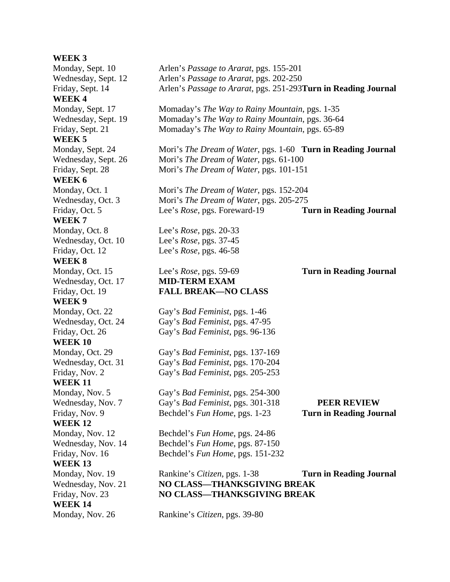# **WEEK 3** Monday, Sept. 10 Arlen's *Passage to Ararat*, pgs. 155-201 Wednesday, Sept. 12 Arlen's *Passage to Ararat*, pgs. 202-250 Friday, Sept. 14 Arlen's *Passage to Ararat*, pgs. 251-293**Turn in Reading Journal WEEK 4** Monday, Sept. 17 Momaday's *The Way to Rainy Mountain*, pgs. 1-35 Wednesday, Sept. 19 Momaday's *The Way to Rainy Mountain*, pgs. 36-64 Friday, Sept. 21 Momaday's *The Way to Rainy Mountain*, pgs. 65-89 **WEEK 5** Monday, Sept. 24 Mori's *The Dream of Water*, pgs. 1-60 **Turn in Reading Journal** Wednesday, Sept. 26 Mori's *The Dream of Water*, pgs. 61-100 Friday, Sept. 28 Mori's *The Dream of Water*, pgs. 101-151 **WEEK 6** Monday, Oct. 1 Mori's *The Dream of Water*, pgs. 152-204 Wednesday, Oct. 3 Mori's *The Dream of Water*, pgs. 205-275 Friday, Oct. 5 Lee's *Rose*, pgs. Foreward-19 **Turn in Reading Journal WEEK 7** Monday, Oct. 8 Lee's *Rose*, pgs. 20-33 Wednesday, Oct. 10 Lee's *Rose*, pgs. 37-45 Friday, Oct. 12 Lee's *Rose*, pgs. 46-58 **WEEK 8**  Monday, Oct. 15 Lee's *Rose*, pgs. 59-69 **Turn in Reading Journal**  Wednesday, Oct. 17 **MID-TERM EXAM** Friday, Oct. 19 **FALL BREAK—NO CLASS WEEK 9** Monday, Oct. 22 Gay's *Bad Feminist*, pgs. 1-46 Wednesday, Oct. 24 Gay's *Bad Feminist*, pgs. 47-95 Friday, Oct. 26 Gay's *Bad Feminist*, pgs. 96-136 **WEEK 10** Monday, Oct. 29 Gay's *Bad Feminist*, pgs. 137-169 Wednesday, Oct. 31 Gay's *Bad Feminist*, pgs. 170-204 Friday, Nov. 2 Gay's *Bad Feminist*, pgs. 205-253 **WEEK 11** Monday, Nov. 5 Gay's *Bad Feminist*, pgs. 254-300 Wednesday, Nov. 7 Gay's *Bad Feminist*, pgs. 301-318 **PEER REVIEW** Friday, Nov. 9 Bechdel's *Fun Home*, pgs. 1-23 **Turn in Reading Journal WEEK 12** Monday, Nov. 12 Bechdel's *Fun Home*, pgs. 24-86 Wednesday, Nov. 14 Bechdel's *Fun Home*, pgs. 87-150 Friday, Nov. 16 Bechdel's *Fun Home*, pgs. 151-232 **WEEK 13** Monday, Nov. 19 Rankine's *Citizen*, pgs. 1-38 **Turn in Reading Journal** Wednesday, Nov. 21 **NO CLASS—THANKSGIVING BREAK** Friday, Nov. 23 **NO CLASS—THANKSGIVING BREAK WEEK 14**  Monday, Nov. 26 Rankine's *Citizen*, pgs. 39-80